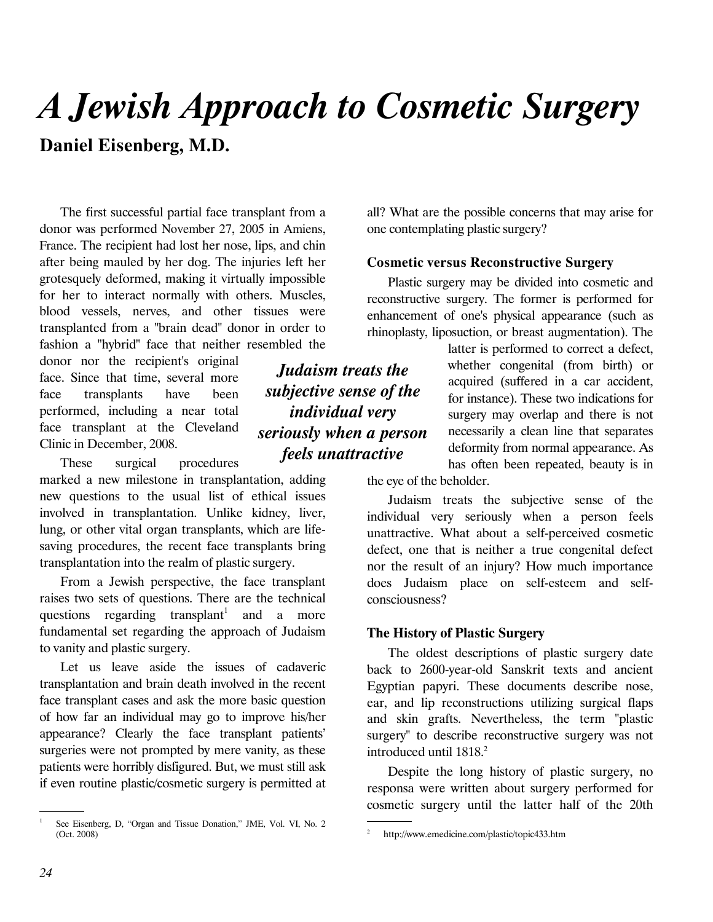# A Jewish Approach to Cosmetic Surgery Daniel Eisenberg, M.D.

The first successful partial face transplant from a donor was performed November 27, 2005 in Amiens, France. The recipient had lost her nose, lips, and chin after being mauled by her dog. The injuries left her grotesquely deformed, making it virtually impossible for her to interact normally with others. Muscles, blood vessels, nerves, and other tissues were transplanted from a "brain dead" donor in order to fashion a "hybrid" face that neither resembled the

donor nor the recipient's original face. Since that time, several more face transplants have been performed, including a near total face transplant at the Cleveland Clinic in December, 2008.

These surgical procedures

marked a new milestone in transplantation, adding new questions to the usual list of ethical issues involved in transplantation. Unlike kidney, liver, lung, or other vital organ transplants, which are lifesaving procedures, the recent face transplants bring transplantation into the realm of plastic surgery.

From a Jewish perspective, the face transplant raises two sets of questions. There are the technical questions regarding transplant<sup>1</sup> and a more fundamental set regarding the approach of Judaism to vanity and plastic surgery.

Let us leave aside the issues of cadaveric transplantation and brain death involved in the recent face transplant cases and ask the more basic question of how far an individual may go to improve his/her appearance? Clearly the face transplant patients' surgeries were not prompted by mere vanity, as these patients were horribly disfigured. But, we must still ask if even routine plastic/cosmetic surgery is permitted at all? What are the possible concerns that may arise for one contemplating plastic surgery?

#### Cosmetic versus Reconstructive Surgery

Plastic surgery may be divided into cosmetic and reconstructive surgery. The former is performed for enhancement of one's physical appearance (such as rhinoplasty, liposuction, or breast augmentation). The

> latter is performed to correct a defect, whether congenital (from birth) or acquired (suffered in a car accident, for instance). These two indications for surgery may overlap and there is not necessarily a clean line that separates deformity from normal appearance. As has often been repeated, beauty is in

Judaism treats the subjective sense of the individual very seriously when a person feels unattractive

the eye of the beholder.

Judaism treats the subjective sense of the individual very seriously when a person feels unattractive. What about a self-perceived cosmetic defect, one that is neither a true congenital defect nor the result of an injury? How much importance does Judaism place on self-esteem and selfconsciousness?

#### The History of Plastic Surgery

The oldest descriptions of plastic surgery date back to 2600-year-old Sanskrit texts and ancient Egyptian papyri. These documents describe nose, ear, and lip reconstructions utilizing surgical flaps and skin grafts. Nevertheless, the term "plastic surgery" to describe reconstructive surgery was not introduced until 1818.<sup>2</sup>

Despite the long history of plastic surgery, no responsa were written about surgery performed for cosmetic surgery until the latter half of the 20th

 <sup>.</sup> 1 See Eisenberg, D, "Organ and Tissue Donation," JME, Vol. VI, No. 2 (Oct. 2008)

 <sup>.</sup> 2 http://www.emedicine.com/plastic/topic433.htm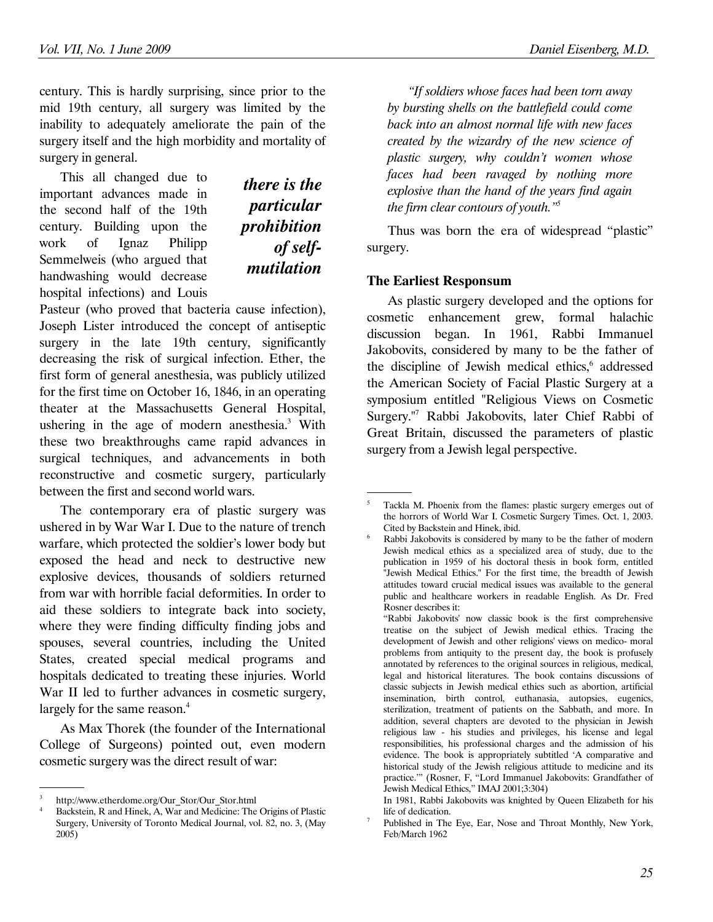century. This is hardly surprising, since prior to the mid 19th century, all surgery was limited by the inability to adequately ameliorate the pain of the surgery itself and the high morbidity and mortality of surgery in general.

This all changed due to important advances made in the second half of the 19th century. Building upon the work of Ignaz Philipp Semmelweis (who argued that handwashing would decrease hospital infections) and Louis

# there is the particular prohibition of selfmutilation

Pasteur (who proved that bacteria cause infection), Joseph Lister introduced the concept of antiseptic surgery in the late 19th century, significantly decreasing the risk of surgical infection. Ether, the first form of general anesthesia, was publicly utilized for the first time on October 16, 1846, in an operating theater at the Massachusetts General Hospital, ushering in the age of modern anesthesia. $3$  With these two breakthroughs came rapid advances in surgical techniques, and advancements in both reconstructive and cosmetic surgery, particularly between the first and second world wars.

The contemporary era of plastic surgery was ushered in by War War I. Due to the nature of trench warfare, which protected the soldier's lower body but exposed the head and neck to destructive new explosive devices, thousands of soldiers returned from war with horrible facial deformities. In order to aid these soldiers to integrate back into society, where they were finding difficulty finding jobs and spouses, several countries, including the United States, created special medical programs and hospitals dedicated to treating these injuries. World War II led to further advances in cosmetic surgery, largely for the same reason.<sup>4</sup>

As Max Thorek (the founder of the International College of Surgeons) pointed out, even modern cosmetic surgery was the direct result of war:

"If soldiers whose faces had been torn away by bursting shells on the battlefield could come back into an almost normal life with new faces created by the wizardry of the new science of plastic surgery, why couldn't women whose faces had been ravaged by nothing more explosive than the hand of the years find again the firm clear contours of youth."<sup>5</sup>

Thus was born the era of widespread "plastic" surgery.

#### The Earliest Responsum

As plastic surgery developed and the options for cosmetic enhancement grew, formal halachic discussion began. In 1961, Rabbi Immanuel Jakobovits, considered by many to be the father of the discipline of Jewish medical ethics,<sup>6</sup> addressed the American Society of Facial Plastic Surgery at a symposium entitled "Religious Views on Cosmetic Surgery."<sup>7</sup> Rabbi Jakobovits, later Chief Rabbi of Great Britain, discussed the parameters of plastic surgery from a Jewish legal perspective.

"Rabbi Jakobovits' now classic book is the first comprehensive treatise on the subject of Jewish medical ethics. Tracing the development of Jewish and other religions' views on medico- moral problems from antiquity to the present day, the book is profusely annotated by references to the original sources in religious, medical, legal and historical literatures. The book contains discussions of classic subjects in Jewish medical ethics such as abortion, artificial insemination, birth control, euthanasia, autopsies, eugenics, sterilization, treatment of patients on the Sabbath, and more. In addition, several chapters are devoted to the physician in Jewish religious law - his studies and privileges, his license and legal responsibilities, his professional charges and the admission of his evidence. The book is appropriately subtitled 'A comparative and historical study of the Jewish religious attitude to medicine and its practice.'" (Rosner, F, "Lord Immanuel Jakobovits: Grandfather of Jewish Medical Ethics," IMAJ 2001;3:304)

In 1981, Rabbi Jakobovits was knighted by Queen Elizabeth for his life of dedication.

7

 <sup>.</sup> 3 http://www.etherdome.org/Our\_Stor/Our\_Stor.html

<sup>4</sup> Backstein, R and Hinek, A, War and Medicine: The Origins of Plastic Surgery, University of Toronto Medical Journal, vol. 82, no. 3, (May 2005)

 <sup>.</sup> 5 Tackla M. Phoenix from the flames: plastic surgery emerges out of the horrors of World War I. Cosmetic Surgery Times. Oct. 1, 2003. Cited by Backstein and Hinek, ibid.

<sup>6</sup> Rabbi Jakobovits is considered by many to be the father of modern Jewish medical ethics as a specialized area of study, due to the publication in 1959 of his doctoral thesis in book form, entitled "Jewish Medical Ethics." For the first time, the breadth of Jewish attitudes toward crucial medical issues was available to the general public and healthcare workers in readable English. As Dr. Fred Rosner describes it:

Published in The Eye, Ear, Nose and Throat Monthly, New York, Feb/March 1962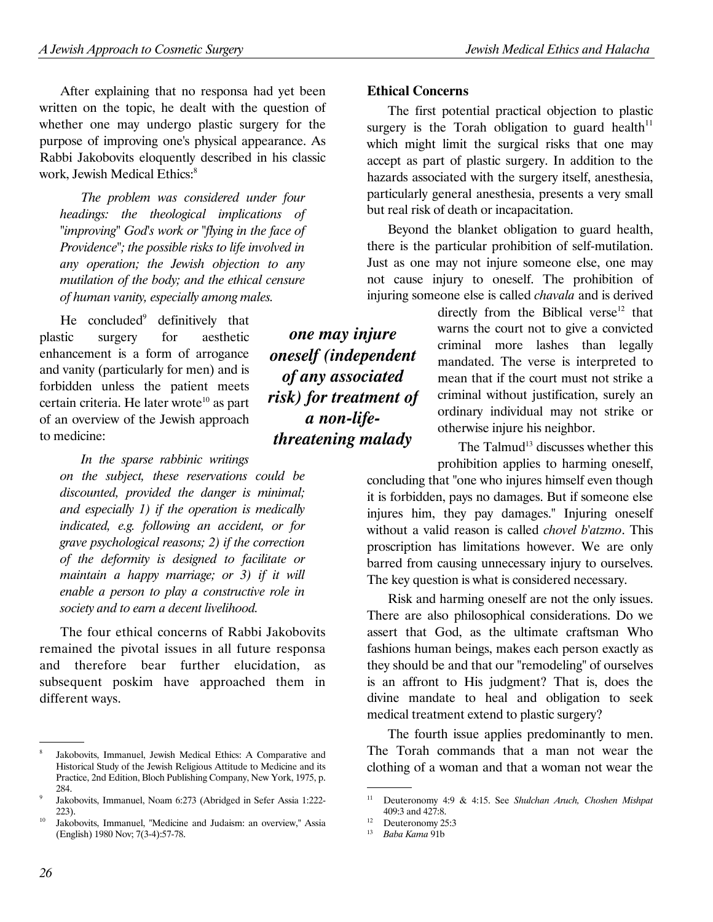After explaining that no responsa had yet been written on the topic, he dealt with the question of whether one may undergo plastic surgery for the purpose of improving one's physical appearance. As Rabbi Jakobovits eloquently described in his classic work, Jewish Medical Ethics:<sup>8</sup>

The problem was considered under four headings: the theological implications of "improving" God's work or "flying in the face of Providence"; the possible risks to life involved in any operation; the Jewish objection to any mutilation of the body; and the ethical censure of human vanity, especially among males.

He concluded<sup>9</sup> definitively that plastic surgery for aesthetic enhancement is a form of arrogance and vanity (particularly for men) and is forbidden unless the patient meets certain criteria. He later wrote<sup>10</sup> as part of an overview of the Jewish approach to medicine:

> In the sparse rabbinic writings on the subject, these reservations could be discounted, provided the danger is minimal; and especially 1) if the operation is medically indicated, e.g. following an accident, or for grave psychological reasons; 2) if the correction of the deformity is designed to facilitate or maintain a happy marriage; or 3) if it will enable a person to play a constructive role in society and to earn a decent livelihood.

The four ethical concerns of Rabbi Jakobovits remained the pivotal issues in all future responsa and therefore bear further elucidation, as subsequent poskim have approached them in different ways.

one may injure oneself (independent of any associated risk) for treatment of a non-lifethreatening malady

#### Ethical Concerns

The first potential practical objection to plastic surgery is the Torah obligation to guard health<sup>11</sup> which might limit the surgical risks that one may accept as part of plastic surgery. In addition to the hazards associated with the surgery itself, anesthesia, particularly general anesthesia, presents a very small but real risk of death or incapacitation.

Beyond the blanket obligation to guard health, there is the particular prohibition of self-mutilation. Just as one may not injure someone else, one may not cause injury to oneself. The prohibition of injuring someone else is called chavala and is derived

> directly from the Biblical verse<sup>12</sup> that warns the court not to give a convicted criminal more lashes than legally mandated. The verse is interpreted to mean that if the court must not strike a criminal without justification, surely an ordinary individual may not strike or otherwise injure his neighbor.

> The Talmud $^{13}$  discusses whether this prohibition applies to harming oneself,

concluding that "one who injures himself even though it is forbidden, pays no damages. But if someone else injures him, they pay damages." Injuring oneself without a valid reason is called chovel b'atzmo. This proscription has limitations however. We are only barred from causing unnecessary injury to ourselves. The key question is what is considered necessary.

Risk and harming oneself are not the only issues. There are also philosophical considerations. Do we assert that God, as the ultimate craftsman Who fashions human beings, makes each person exactly as they should be and that our "remodeling" of ourselves is an affront to His judgment? That is, does the divine mandate to heal and obligation to seek medical treatment extend to plastic surgery?

The fourth issue applies predominantly to men. The Torah commands that a man not wear the clothing of a woman and that a woman not wear the

 <sup>.</sup> 8 Jakobovits, Immanuel, Jewish Medical Ethics: A Comparative and Historical Study of the Jewish Religious Attitude to Medicine and its Practice, 2nd Edition, Bloch Publishing Company, New York, 1975, p. 284.

<sup>9</sup> Jakobovits, Immanuel, Noam 6:273 (Abridged in Sefer Assia 1:222- 223).

<sup>&</sup>lt;sup>10</sup> Jakobovits, Immanuel, "Medicine and Judaism: an overview," Assia (English) 1980 Nov; 7(3-4):57-78.

 <sup>.</sup> <sup>11</sup> Deuteronomy 4:9 & 4:15. See Shulchan Aruch, Choshen Mishpat 409:3 and 427:8.

<sup>12</sup> Deuteronomy 25:3

<sup>13</sup> Baba Kama 91b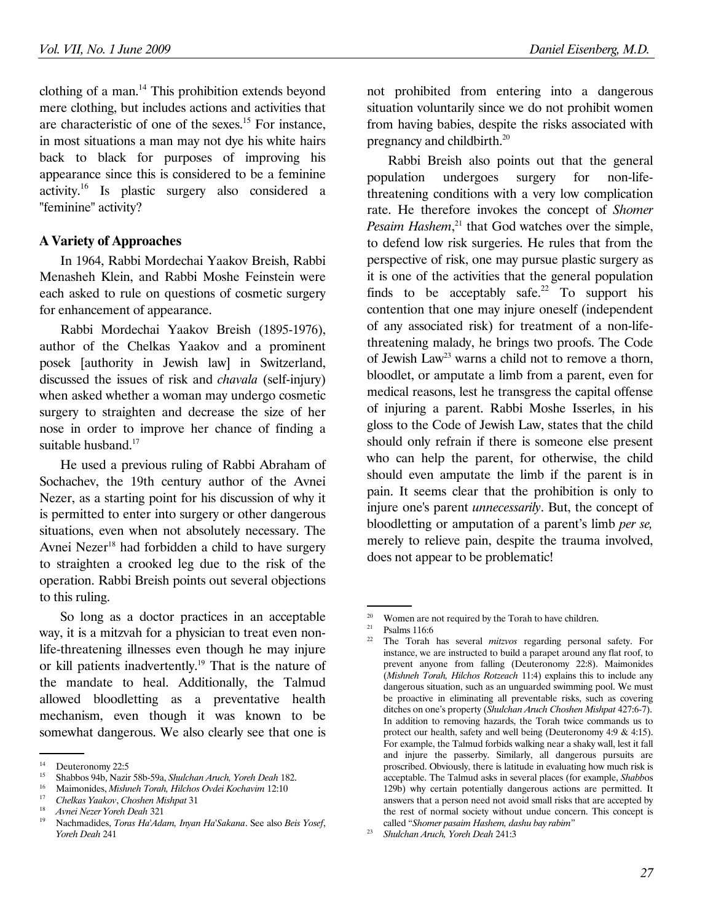clothing of a man. $14$  This prohibition extends beyond mere clothing, but includes actions and activities that are characteristic of one of the sexes.<sup>15</sup> For instance, in most situations a man may not dye his white hairs back to black for purposes of improving his appearance since this is considered to be a feminine activity.<sup>16</sup> Is plastic surgery also considered a "feminine" activity?

#### A Variety of Approaches

In 1964, Rabbi Mordechai Yaakov Breish, Rabbi Menasheh Klein, and Rabbi Moshe Feinstein were each asked to rule on questions of cosmetic surgery for enhancement of appearance.

Rabbi Mordechai Yaakov Breish (1895-1976), author of the Chelkas Yaakov and a prominent posek [authority in Jewish law] in Switzerland, discussed the issues of risk and chavala (self-injury) when asked whether a woman may undergo cosmetic surgery to straighten and decrease the size of her nose in order to improve her chance of finding a suitable husband.<sup>17</sup>

He used a previous ruling of Rabbi Abraham of Sochachev, the 19th century author of the Avnei Nezer, as a starting point for his discussion of why it is permitted to enter into surgery or other dangerous situations, even when not absolutely necessary. The Avnei Nezer $18$  had forbidden a child to have surgery to straighten a crooked leg due to the risk of the operation. Rabbi Breish points out several objections to this ruling.

So long as a doctor practices in an acceptable way, it is a mitzvah for a physician to treat even nonlife-threatening illnesses even though he may injure or kill patients inadvertently.<sup>19</sup> That is the nature of the mandate to heal. Additionally, the Talmud allowed bloodletting as a preventative health mechanism, even though it was known to be somewhat dangerous. We also clearly see that one is not prohibited from entering into a dangerous situation voluntarily since we do not prohibit women from having babies, despite the risks associated with pregnancy and childbirth.<sup>20</sup>

Rabbi Breish also points out that the general population undergoes surgery for non-lifethreatening conditions with a very low complication rate. He therefore invokes the concept of Shomer Pesaim Hashem,<sup>21</sup> that God watches over the simple, to defend low risk surgeries. He rules that from the perspective of risk, one may pursue plastic surgery as it is one of the activities that the general population finds to be acceptably safe.<sup>22</sup> To support his contention that one may injure oneself (independent of any associated risk) for treatment of a non-lifethreatening malady, he brings two proofs. The Code of Jewish Law<sup>23</sup> warns a child not to remove a thorn, bloodlet, or amputate a limb from a parent, even for medical reasons, lest he transgress the capital offense of injuring a parent. Rabbi Moshe Isserles, in his gloss to the Code of Jewish Law, states that the child should only refrain if there is someone else present who can help the parent, for otherwise, the child should even amputate the limb if the parent is in pain. It seems clear that the prohibition is only to injure one's parent unnecessarily. But, the concept of bloodletting or amputation of a parent's limb per se, merely to relieve pain, despite the trauma involved, does not appear to be problematic!

 <sup>.</sup> <sup>14</sup> Deuteronomy 22:5

<sup>&</sup>lt;sup>15</sup> Shabbos 94b, Nazir 58b-59a, *Shulchan Aruch, Yoreh Deah* 182.

Maimonides, Mishneh Torah, Hilchos Ovdei Kochavim 12:10

<sup>17</sup> Chelkas Yaakov, Choshen Mishpat 31

<sup>18</sup> Avnei Nezer Yoreh Deah 321

Nachmadides, Toras Ha'Adam, Inyan Ha'Sakana. See also Beis Yosef, Yoreh Deah 241

 <sup>.</sup> <sup>20</sup> Women are not required by the Torah to have children.

 $\frac{21}{22}$  Psalms 116:6

The Torah has several mitzvos regarding personal safety. For instance, we are instructed to build a parapet around any flat roof, to prevent anyone from falling (Deuteronomy 22:8). Maimonides (Mishneh Torah, Hilchos Rotzeach 11:4) explains this to include any dangerous situation, such as an unguarded swimming pool. We must be proactive in eliminating all preventable risks, such as covering ditches on one's property (Shulchan Aruch Choshen Mishpat 427:6-7). In addition to removing hazards, the Torah twice commands us to protect our health, safety and well being (Deuteronomy 4:9 & 4:15). For example, the Talmud forbids walking near a shaky wall, lest it fall and injure the passerby. Similarly, all dangerous pursuits are proscribed. Obviously, there is latitude in evaluating how much risk is acceptable. The Talmud asks in several places (for example, Shabbos 129b) why certain potentially dangerous actions are permitted. It answers that a person need not avoid small risks that are accepted by the rest of normal society without undue concern. This concept is called "Shomer pasaim Hashem, dashu bay rabim"

<sup>&</sup>lt;sup>23</sup> Shulchan Aruch, Yoreh Deah 241:3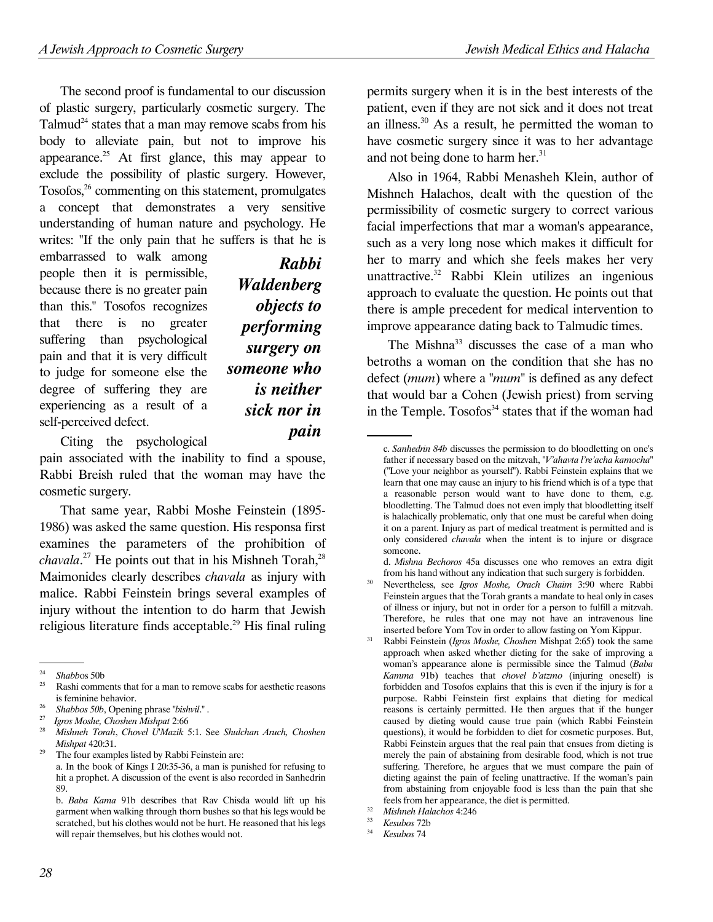The second proof is fundamental to our discussion of plastic surgery, particularly cosmetic surgery. The Talmud<sup>24</sup> states that a man may remove scabs from his body to alleviate pain, but not to improve his appearance.<sup>25</sup> At first glance, this may appear to exclude the possibility of plastic surgery. However, Tosofos,<sup>26</sup> commenting on this statement, promulgates a concept that demonstrates a very sensitive understanding of human nature and psychology. He writes: "If the only pain that he suffers is that he is

embarrassed to walk among people then it is permissible, because there is no greater pain than this." Tosofos recognizes that there is no greater suffering than psychological pain and that it is very difficult to judge for someone else the degree of suffering they are experiencing as a result of a self-perceived defect.

Rabbi Waldenberg objects to performing surgery on someone who is neither sick nor in pain

Citing the psychological

pain associated with the inability to find a spouse, Rabbi Breish ruled that the woman may have the cosmetic surgery.

That same year, Rabbi Moshe Feinstein (1895- 1986) was asked the same question. His responsa first examines the parameters of the prohibition of *chavala*.<sup>27</sup> He points out that in his Mishneh Torah,<sup>28</sup> Maimonides clearly describes chavala as injury with malice. Rabbi Feinstein brings several examples of injury without the intention to do harm that Jewish religious literature finds acceptable.<sup>29</sup> His final ruling permits surgery when it is in the best interests of the patient, even if they are not sick and it does not treat an illness. $30$  As a result, he permitted the woman to have cosmetic surgery since it was to her advantage and not being done to harm her. $31$ 

Also in 1964, Rabbi Menasheh Klein, author of Mishneh Halachos, dealt with the question of the permissibility of cosmetic surgery to correct various facial imperfections that mar a woman's appearance, such as a very long nose which makes it difficult for her to marry and which she feels makes her very unattractive.<sup>32</sup> Rabbi Klein utilizes an ingenious approach to evaluate the question. He points out that there is ample precedent for medical intervention to improve appearance dating back to Talmudic times.

The Mishna<sup>33</sup> discusses the case of a man who betroths a woman on the condition that she has no defect (mum) where a "mum" is defined as any defect that would bar a Cohen (Jewish priest) from serving in the Temple. Tosofos<sup>34</sup> states that if the woman had

.

 <sup>.</sup> 24  $\frac{24}{25}$  Shabbos 50b

Rashi comments that for a man to remove scabs for aesthetic reasons is feminine behavior.

<sup>26</sup> Shabbos 50b, Opening phrase "bishvil." .

<sup>27</sup> Igros Moshe, Choshen Mishpat 2:66

<sup>28</sup> Mishneh Torah, Chovel U'Mazik 5:1. See Shulchan Aruch, Choshen Mishpat 420:31.

<sup>&</sup>lt;sup>29</sup> The four examples listed by Rabbi Feinstein are:

a. In the book of Kings I 20:35-36, a man is punished for refusing to hit a prophet. A discussion of the event is also recorded in Sanhedrin 89.

b. Baba Kama 91b describes that Rav Chisda would lift up his garment when walking through thorn bushes so that his legs would be scratched, but his clothes would not be hurt. He reasoned that his legs will repair themselves, but his clothes would not.

c. Sanhedrin 84b discusses the permission to do bloodletting on one's father if necessary based on the mitzvah, "V'ahavta l're'acha kamocha" ("Love your neighbor as yourself"). Rabbi Feinstein explains that we learn that one may cause an injury to his friend which is of a type that a reasonable person would want to have done to them, e.g. bloodletting. The Talmud does not even imply that bloodletting itself is halachically problematic, only that one must be careful when doing it on a parent. Injury as part of medical treatment is permitted and is only considered chavala when the intent is to injure or disgrace someone.

d. Mishna Bechoros 45a discusses one who removes an extra digit from his hand without any indication that such surgery is forbidden.

Nevertheless, see Igros Moshe, Orach Chaim 3:90 where Rabbi Feinstein argues that the Torah grants a mandate to heal only in cases of illness or injury, but not in order for a person to fulfill a mitzvah. Therefore, he rules that one may not have an intravenous line inserted before Yom Tov in order to allow fasting on Yom Kippur.

<sup>&</sup>lt;sup>31</sup> Rabbi Feinstein (Igros Moshe, Choshen Mishpat 2:65) took the same approach when asked whether dieting for the sake of improving a woman's appearance alone is permissible since the Talmud (Baba Kamma 91b) teaches that chovel b'atzmo (injuring oneself) is forbidden and Tosofos explains that this is even if the injury is for a purpose. Rabbi Feinstein first explains that dieting for medical reasons is certainly permitted. He then argues that if the hunger caused by dieting would cause true pain (which Rabbi Feinstein questions), it would be forbidden to diet for cosmetic purposes. But, Rabbi Feinstein argues that the real pain that ensues from dieting is merely the pain of abstaining from desirable food, which is not true suffering. Therefore, he argues that we must compare the pain of dieting against the pain of feeling unattractive. If the woman's pain from abstaining from enjoyable food is less than the pain that she feels from her appearance, the diet is permitted.

<sup>32</sup> Mishneh Halachos 4:246

<sup>33</sup> Kesubos 72b

<sup>34</sup> Kesubos 74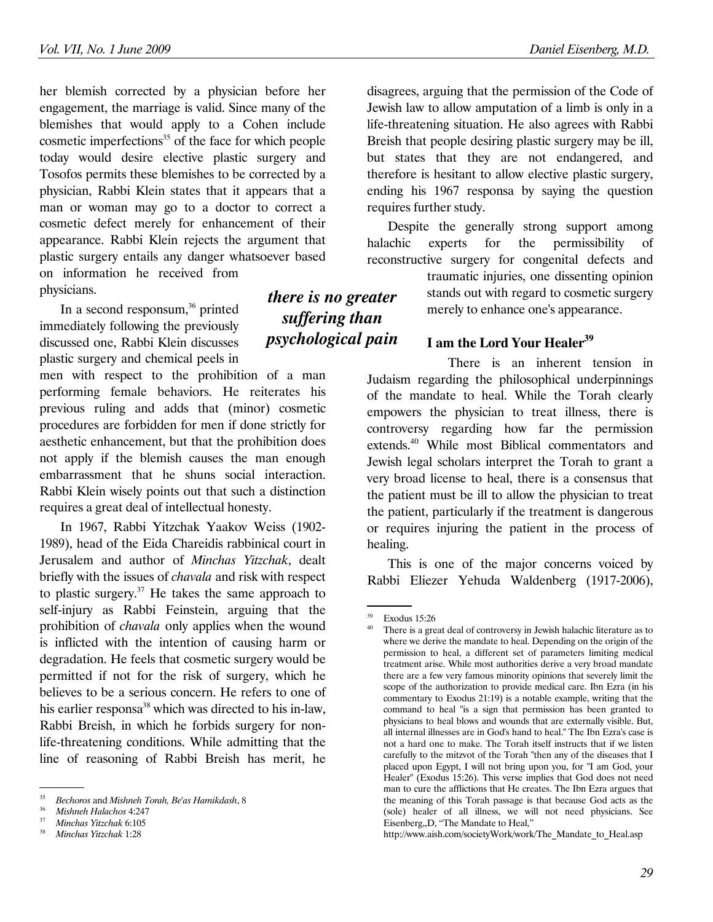her blemish corrected by a physician before her engagement, the marriage is valid. Since many of the blemishes that would apply to a Cohen include cosmetic imperfections $35$  of the face for which people today would desire elective plastic surgery and Tosofos permits these blemishes to be corrected by a physician, Rabbi Klein states that it appears that a man or woman may go to a doctor to correct a cosmetic defect merely for enhancement of their appearance. Rabbi Klein rejects the argument that plastic surgery entails any danger whatsoever based on information he received from physicians.

In a second responsum, $36$  printed immediately following the previously discussed one, Rabbi Klein discusses plastic surgery and chemical peels in

men with respect to the prohibition of a man performing female behaviors. He reiterates his previous ruling and adds that (minor) cosmetic procedures are forbidden for men if done strictly for aesthetic enhancement, but that the prohibition does not apply if the blemish causes the man enough embarrassment that he shuns social interaction. Rabbi Klein wisely points out that such a distinction requires a great deal of intellectual honesty.

In 1967, Rabbi Yitzchak Yaakov Weiss (1902- 1989), head of the Eida Chareidis rabbinical court in Jerusalem and author of Minchas Yitzchak, dealt briefly with the issues of chavala and risk with respect to plastic surgery.<sup>37</sup> He takes the same approach to self-injury as Rabbi Feinstein, arguing that the prohibition of chavala only applies when the wound is inflicted with the intention of causing harm or degradation. He feels that cosmetic surgery would be permitted if not for the risk of surgery, which he believes to be a serious concern. He refers to one of his earlier responsa<sup>38</sup> which was directed to his in-law, Rabbi Breish, in which he forbids surgery for nonlife-threatening conditions. While admitting that the line of reasoning of Rabbi Breish has merit, he

.

there is no greater suffering than psychological pain

disagrees, arguing that the permission of the Code of Jewish law to allow amputation of a limb is only in a life-threatening situation. He also agrees with Rabbi Breish that people desiring plastic surgery may be ill, but states that they are not endangered, and therefore is hesitant to allow elective plastic surgery, ending his 1967 responsa by saying the question requires further study.

Despite the generally strong support among halachic experts for the permissibility of reconstructive surgery for congenital defects and

> traumatic injuries, one dissenting opinion stands out with regard to cosmetic surgery merely to enhance one's appearance.

## I am the Lord Your Healer**<sup>39</sup>**

There is an inherent tension in Judaism regarding the philosophical underpinnings of the mandate to heal. While the Torah clearly empowers the physician to treat illness, there is controversy regarding how far the permission extends.<sup>40</sup> While most Biblical commentators and Jewish legal scholars interpret the Torah to grant a very broad license to heal, there is a consensus that the patient must be ill to allow the physician to treat the patient, particularly if the treatment is dangerous or requires injuring the patient in the process of healing.

This is one of the major concerns voiced by Rabbi Eliezer Yehuda Waldenberg (1917-2006),

http://www.aish.com/societyWork/work/The\_Mandate\_to\_Heal.asp

<sup>35</sup> Bechoros and Mishneh Torah, Be'as Hamikdash, 8

<sup>36</sup> Mishneh Halachos 4:247

<sup>37</sup> Minchas Yitzchak 6:105

<sup>38</sup> Minchas Yitzchak 1:28

 <sup>.</sup> <sup>39</sup> Exodus 15:26

There is a great deal of controversy in Jewish halachic literature as to where we derive the mandate to heal. Depending on the origin of the permission to heal, a different set of parameters limiting medical treatment arise. While most authorities derive a very broad mandate there are a few very famous minority opinions that severely limit the scope of the authorization to provide medical care. Ibn Ezra (in his commentary to Exodus 21:19) is a notable example, writing that the command to heal "is a sign that permission has been granted to physicians to heal blows and wounds that are externally visible. But, all internal illnesses are in God's hand to heal." The Ibn Ezra's case is not a hard one to make. The Torah itself instructs that if we listen carefully to the mitzvot of the Torah "then any of the diseases that I placed upon Egypt, I will not bring upon you, for "I am God, your Healer" (Exodus 15:26). This verse implies that God does not need man to cure the afflictions that He creates. The Ibn Ezra argues that the meaning of this Torah passage is that because God acts as the (sole) healer of all illness, we will not need physicians. See Eisenberg,,D, "The Mandate to Heal,"